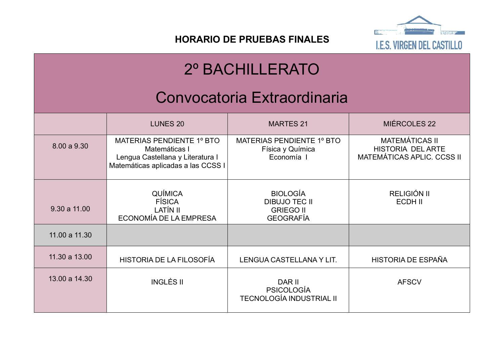

**HORARIO DE PRUEBAS FINALES**

# 2º BACHILLERATO

## Convocatoria Extraordinaria

|               | <b>LUNES 20</b>                                                                                                      | <b>MARTES 21</b>                                                                | MIÉRCOLES 22                                                                           |
|---------------|----------------------------------------------------------------------------------------------------------------------|---------------------------------------------------------------------------------|----------------------------------------------------------------------------------------|
| 8.00 a 9.30   | MATERIAS PENDIENTE 1º BTO<br>Matemáticas I<br>Lengua Castellana y Literatura I<br>Matemáticas aplicadas a las CCSS I | MATERIAS PENDIENTE 1º BTO<br>Física y Química<br>Economía I                     | <b>MATEMÁTICAS II</b><br><b>HISTORIA DEL ARTE</b><br><b>MATEMÁTICAS APLIC. CCSS II</b> |
| 9.30 a 11.00  | <b>QUÍMICA</b><br><b>FÍSICA</b><br>LATÍN II<br>ECONOMÍA DE LA EMPRESA                                                | <b>BIOLOGÍA</b><br><b>DIBUJO TEC II</b><br><b>GRIEGO II</b><br><b>GEOGRAFÍA</b> | RELIGIÓN II<br>ECDH II                                                                 |
| 11.00 a 11.30 |                                                                                                                      |                                                                                 |                                                                                        |
| 11.30 a 13.00 | HISTORIA DE LA FILOSOFÍA                                                                                             | LENGUA CASTELLANA Y LIT.                                                        | HISTORIA DE ESPAÑA                                                                     |
| 13.00 a 14.30 | <b>INGLÉS II</b>                                                                                                     | DAR II<br><b>PSICOLOGÍA</b><br><b>TECNOLOGÍA INDUSTRIAL II</b>                  | <b>AFSCV</b>                                                                           |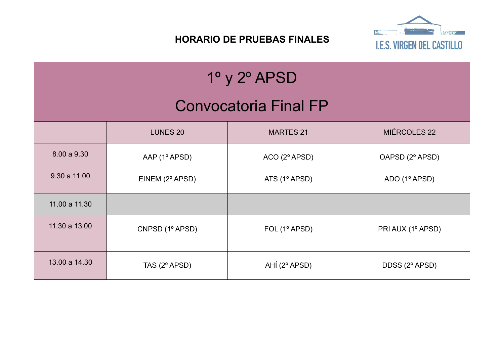

### **HORARIO DE PRUEBAS FINALES**

| $1^{\circ}$ y $2^{\circ}$ APSD |                 |                  |                   |  |  |
|--------------------------------|-----------------|------------------|-------------------|--|--|
| <b>Convocatoria Final FP</b>   |                 |                  |                   |  |  |
|                                | <b>LUNES 20</b> | <b>MARTES 21</b> | MIÉRCOLES 22      |  |  |
| 8.00 a 9.30                    | AAP (1º APSD)   | ACO(2°APSD)      | OAPSD (2º APSD)   |  |  |
| 9.30 a 11.00                   | EINEM (2° APSD) | ATS (1º APSD)    | ADO (1º APSD)     |  |  |
| 11.00 a 11.30                  |                 |                  |                   |  |  |
| 11.30 a 13.00                  | CNPSD (1º APSD) | FOL (1º APSD)    | PRI AUX (1º APSD) |  |  |
| 13.00 a 14.30                  | TAS (2º APSD)   | AHÍ (2º APSD)    | DDSS (2º APSD)    |  |  |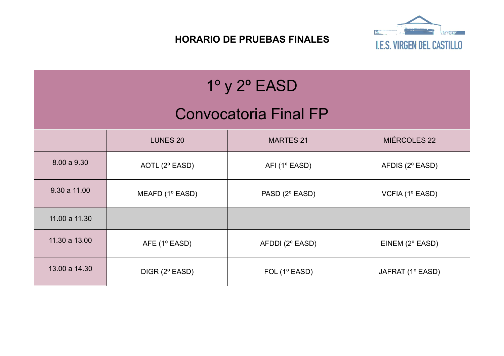**I.E.S. VIRGEN DEL CASTILLO** 

### **HORARIO DE PRUEBAS FINALES**

| $1^\circ$ y $2^\circ$ EASD   |                 |                  |                  |  |  |  |
|------------------------------|-----------------|------------------|------------------|--|--|--|
| <b>Convocatoria Final FP</b> |                 |                  |                  |  |  |  |
|                              | <b>LUNES 20</b> | <b>MARTES 21</b> | MIÉRCOLES 22     |  |  |  |
| 8.00 a 9.30                  | AOTL (2° EASD)  | AFI (1º EASD)    | AFDIS (2° EASD)  |  |  |  |
| 9.30 a 11.00                 | MEAFD (1º EASD) | PASD (2° EASD)   | VCFIA (1º EASD)  |  |  |  |
| 11.00 a 11.30                |                 |                  |                  |  |  |  |
| 11.30 a 13.00                | AFE (1° EASD)   | AFDDI (2° EASD)  | EINEM (2° EASD)  |  |  |  |
| 13.00 a 14.30                | DIGR (2° EASD)  | FOL (1º EASD)    | JAFRAT (1º EASD) |  |  |  |